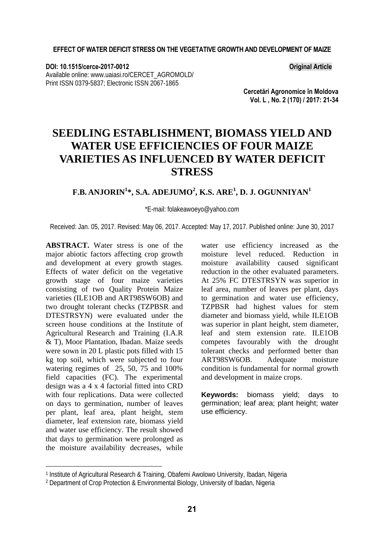**DOI: 10.1515/cerce-2017-0012 Original Article**  Available online: www.uaiasi.ro/CERCET\_AGROMOLD/ Print ISSN 0379-5837; Electronic ISSN 2067-1865

**Cercetări Agronomice în Moldova Vol. L , No. 2 (170) / 2017: 21-34** 

# **SEEDLING ESTABLISHMENT, BIOMASS YIELD AND WATER USE EFFICIENCIES OF FOUR MAIZE VARIETIES AS INFLUENCED BY WATER DEFICIT STRESS**

#### $\mathbf{F}.\mathbf{B}.\mathbf{ANJORIN}^{1*}, \mathbf{S}.\mathbf{A}.\mathbf{ADEJUMO}^{2}, \mathbf{K}.\mathbf{S}.\mathbf{ARE}^{1}, \mathbf{D}.\mathbf{J}.\mathbf{OGUNNIYAN}^{1*}$

\*E-mail: folakeawoeyo@yahoo.com

Received: Jan. 05, 2017. Revised: May 06, 2017. Accepted: May 17, 2017. Published online: June 30, 2017

**ABSTRACT.** Water stress is one of the major abiotic factors affecting crop growth and development at every growth stages. Effects of water deficit on the vegetative growth stage of four maize varieties consisting of two Quality Protein Maize varieties (ILE1OB and ART98SW6OB) and two drought tolerant checks (TZPBSR and DTESTRSYN) were evaluated under the screen house conditions at the Institute of Agricultural Research and Training (I.A.R & T), Moor Plantation, Ibadan. Maize seeds were sown in 20 L plastic pots filled with 15 kg top soil, which were subjected to four watering regimes of 25, 50, 75 and 100% field capacities (FC). The experimental design was a 4 x 4 factorial fitted into CRD with four replications. Data were collected on days to germination, number of leaves per plant, leaf area, plant height, stem diameter, leaf extension rate, biomass yield and water use efficiency. The result showed that days to germination were prolonged as the moisture availability decreases, while

l

water use efficiency increased as the moisture level reduced. Reduction in moisture availability caused significant reduction in the other evaluated parameters. At 25% FC DTESTRSYN was superior in leaf area, number of leaves per plant, days to germination and water use efficiency, TZPBSR had highest values for stem diameter and biomass yield, while ILE1OB was superior in plant height, stem diameter, leaf and stem extension rate. ILE1OB competes favourably with the drought tolerant checks and performed better than<br>ART98SW6OB. Adequate moisture ART98SW6OB. Adequate moisture condition is fundamental for normal growth and development in maize crops.

**Keywords:** biomass yield; days to germination; leaf area; plant height; water use efficiency.

<sup>1</sup> Institute of Agricultural Research & Training, Obafemi Awolowo University, Ibadan, Nigeria

<sup>&</sup>lt;sup>2</sup> Department of Crop Protection & Environmental Biology, University of Ibadan, Nigeria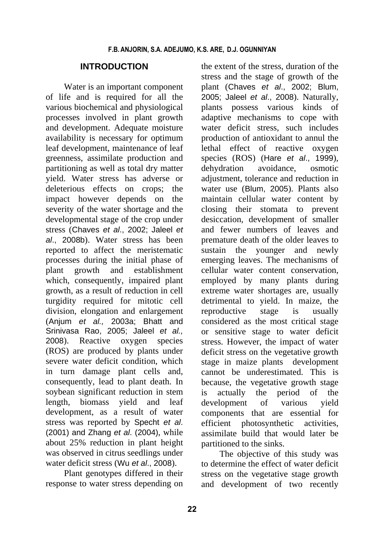#### **INTRODUCTION**

Water is an important component of life and is required for all the various biochemical and physiological processes involved in plant growth and development. Adequate moisture availability is necessary for optimum leaf development, maintenance of leaf greenness, assimilate production and partitioning as well as total dry matter yield. Water stress has adverse or deleterious effects on crops; the impact however depends on the severity of the water shortage and the developmental stage of the crop under stress (Chaves *et al*., 2002; Jaleel *et al*., 2008b). Water stress has been reported to affect the meristematic processes during the initial phase of plant growth and establishment which, consequently, impaired plant growth, as a result of reduction in cell turgidity required for mitotic cell division, elongation and enlargement (Anjum *et al.,* 2003a; Bhatt and Srinivasa Rao, 2005; Jaleel *et al.,* 2008). Reactive oxygen species (ROS) are produced by plants under severe water deficit condition, which in turn damage plant cells and, consequently, lead to plant death. In soybean significant reduction in stem length, biomass yield and leaf development, as a result of water stress was reported by Specht *et al*. (2001) and Zhang *et al*. (2004), while about 25% reduction in plant height was observed in citrus seedlings under water deficit stress (Wu *et al*., 2008).

Plant genotypes differed in their response to water stress depending on

the extent of the stress, duration of the stress and the stage of growth of the plant (Chaves *et al*., 2002; Blum, 2005; Jaleel *et al*., 2008). Naturally, plants possess various kinds of adaptive mechanisms to cope with water deficit stress, such includes production of antioxidant to annul the lethal effect of reactive oxygen species (ROS) (Hare *et al*., 1999), dehydration avoidance, osmotic adjustment, tolerance and reduction in water use (Blum, 2005). Plants also maintain cellular water content by closing their stomata to prevent desiccation, development of smaller and fewer numbers of leaves and premature death of the older leaves to sustain the younger and newly emerging leaves. The mechanisms of cellular water content conservation, employed by many plants during extreme water shortages are, usually detrimental to yield. In maize, the reproductive stage is usually considered as the most critical stage or sensitive stage to water deficit stress. However, the impact of water deficit stress on the vegetative growth stage in maize plants development cannot be underestimated. This is because, the vegetative growth stage is actually the period of the development of various yield components that are essential for efficient photosynthetic activities, assimilate build that would later be partitioned to the sinks.

The objective of this study was to determine the effect of water deficit stress on the vegetative stage growth and development of two recently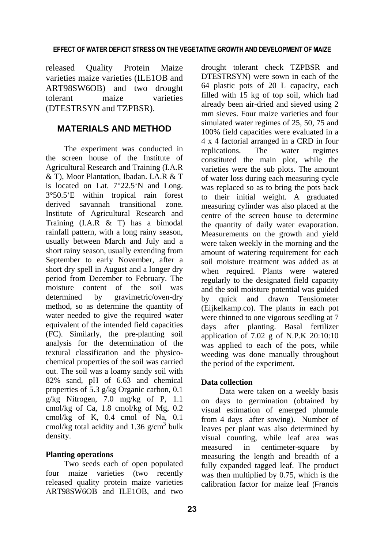released Quality Protein Maize varieties maize varieties (ILE1OB and ART98SW6OB) and two drought tolerant maize varieties (DTESTRSYN and TZPBSR).

## **MATERIALS AND METHOD**

The experiment was conducted in the screen house of the Institute of Agricultural Research and Training (I.A.R & T), Moor Plantation, Ibadan. I.A.R & T is located on Lat. 7°22.5'N and Long. 3°50.5'E within tropical rain forest derived savannah transitional zone. Institute of Agricultural Research and Training (I.A.R & T) has a bimodal rainfall pattern, with a long rainy season, usually between March and July and a short rainy season, usually extending from September to early November, after a short dry spell in August and a longer dry period from December to February. The moisture content of the soil was determined by gravimetric/oven-dry method, so as determine the quantity of water needed to give the required water equivalent of the intended field capacities (FC). Similarly, the pre-planting soil analysis for the determination of the textural classification and the physicochemical properties of the soil was carried out. The soil was a loamy sandy soil with 82% sand, pH of 6.63 and chemical properties of 5.3 g/kg Organic carbon, 0.1 g/kg Nitrogen, 7.0 mg/kg of P, 1.1 cmol/kg of Ca, 1.8 cmol/kg of Mg, 0.2 cmol/kg of K, 0.4 cmol of Na, 0.1 cmol/kg total acidity and  $1.36$  g/cm<sup>3</sup> bulk density.

#### **Planting operations**

Two seeds each of open populated four maize varieties (two recently released quality protein maize varieties ART98SW6OB and ILE1OB, and two

drought tolerant check TZPBSR and DTESTRSYN) were sown in each of the 64 plastic pots of 20 L capacity, each filled with 15 kg of top soil, which had already been air-dried and sieved using 2 mm sieves. Four maize varieties and four simulated water regimes of 25, 50, 75 and 100% field capacities were evaluated in a 4 x 4 factorial arranged in a CRD in four replications. The water regimes constituted the main plot, while the varieties were the sub plots. The amount of water loss during each measuring cycle was replaced so as to bring the pots back to their initial weight. A graduated measuring cylinder was also placed at the centre of the screen house to determine the quantity of daily water evaporation. Measurements on the growth and yield were taken weekly in the morning and the amount of watering requirement for each soil moisture treatment was added as at when required. Plants were watered regularly to the designated field capacity and the soil moisture potential was guided by quick and drawn Tensiometer (Eijkelkamp.co). The plants in each pot were thinned to one vigorous seedling at 7 days after planting. Basal fertilizer application of 7.02 g of N.P.K 20:10:10 was applied to each of the pots, while weeding was done manually throughout the period of the experiment.

#### **Data collection**

Data were taken on a weekly basis on days to germination (obtained by visual estimation of emerged plumule from 4 days after sowing). Number of leaves per plant was also determined by visual counting, while leaf area was measured in centimeter-square by measuring the length and breadth of a fully expanded tagged leaf. The product was then multiplied by 0.75, which is the calibration factor for maize leaf (Francis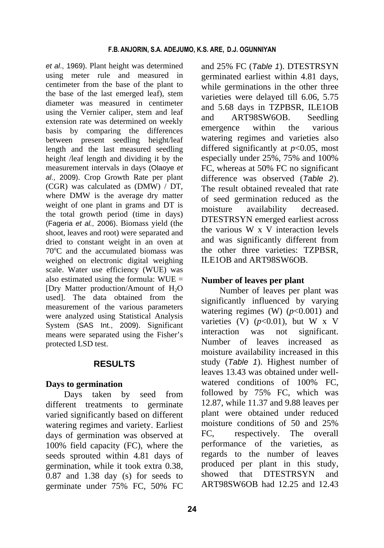*et al*., 1969). Plant height was determined using meter rule and measured in centimeter from the base of the plant to the base of the last emerged leaf), stem diameter was measured in centimeter using the Vernier caliper, stem and leaf extension rate was determined on weekly basis by comparing the differences between present seedling height/leaf length and the last measured seedling height /leaf length and dividing it by the measurement intervals in days (Olaoye *et al*., 2009). Crop Growth Rate per plant (CGR) was calculated as (DMW) / DT, where DMW is the average dry matter weight of one plant in grams and DT is the total growth period (time in days) (Fageria *et al.,* 2006). Biomass yield (the shoot, leaves and root) were separated and dried to constant weight in an oven at 70°C and the accumulated biomass was weighed on electronic digital weighing scale. Water use efficiency (WUE) was also estimated using the formula:  $WUE =$ [Dry Matter production/Amount of  $H_2O$ used]. The data obtained from the measurement of the various parameters were analyzed using Statistical Analysis System (SAS Int., 2009). Significant means were separated using the Fisher's protected LSD test.

## **RESULTS**

#### **Days to germination**

Days taken by seed from different treatments to germinate varied significantly based on different watering regimes and variety. Earliest days of germination was observed at 100% field capacity (FC), where the seeds sprouted within 4.81 days of germination, while it took extra 0.38, 0.87 and 1.38 day (s) for seeds to germinate under 75% FC, 50% FC and 25% FC (*Table 1*). DTESTRSYN germinated earliest within 4.81 days, while germinations in the other three varieties were delayed till 6.06, 5.75 and 5.68 days in TZPBSR, ILE1OB and ART98SW6OB. Seedling emergence within the various watering regimes and varieties also differed significantly at *p*<0.05, most especially under 25%, 75% and 100% FC, whereas at 50% FC no significant difference was observed (*Table 2*). The result obtained revealed that rate of seed germination reduced as the moisture availability decreased. DTESTRSYN emerged earliest across the various W x V interaction levels and was significantly different from the other three varieties: TZPBSR, ILE1OB and ART98SW6OB.

#### **Number of leaves per plant**

Number of leaves per plant was significantly influenced by varying watering regimes (W)  $(p<0.001)$  and varieties (V)  $(p<0.01)$ , but W x V interaction was not significant. Number of leaves increased as moisture availability increased in this study (*Table 1*). Highest number of leaves 13.43 was obtained under wellwatered conditions of 100% FC. followed by 75% FC, which was 12.87, while 11.37 and 9.88 leaves per plant were obtained under reduced moisture conditions of 50 and 25% FC, respectively. The overall performance of the varieties, as regards to the number of leaves produced per plant in this study, showed that DTESTRSYN and ART98SW6OB had 12.25 and 12.43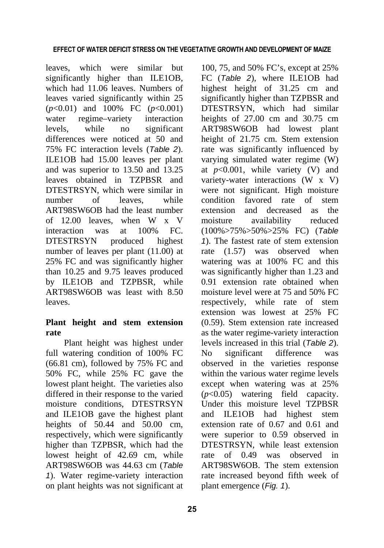leaves, which were similar but significantly higher than ILE1OB, which had 11.06 leaves. Numbers of leaves varied significantly within 25 (*p*<0.01) and 100% FC (*p*<0.001) water regime–variety interaction levels, while no significant differences were noticed at 50 and 75% FC interaction levels (*Table 2*). ILE1OB had 15.00 leaves per plant and was superior to 13.50 and 13.25 leaves obtained in TZPBSR and DTESTRSYN, which were similar in number of leaves, while ART98SW6OB had the least number of 12.00 leaves, when W x V interaction was at 100% FC. DTESTRSYN produced highest number of leaves per plant (11.00) at 25% FC and was significantly higher than 10.25 and 9.75 leaves produced by ILE1OB and TZPBSR, while ART98SW6OB was least with 8.50 leaves.

## **Plant height and stem extension rate**

Plant height was highest under full watering condition of 100% FC (66.81 cm), followed by 75% FC and 50% FC, while 25% FC gave the lowest plant height. The varieties also differed in their response to the varied moisture conditions, DTESTRSYN and ILE1OB gave the highest plant heights of 50.44 and 50.00 cm, respectively, which were significantly higher than TZPBSR, which had the lowest height of 42.69 cm, while ART98SW6OB was 44.63 cm (*Table 1*). Water regime-variety interaction on plant heights was not significant at

100, 75, and 50% FC's, except at 25% FC (*Table 2*), where ILE1OB had highest height of 31.25 cm and significantly higher than TZPBSR and DTESTRSYN, which had similar heights of 27.00 cm and 30.75 cm ART98SW6OB had lowest plant height of 21.75 cm. Stem extension rate was significantly influenced by varying simulated water regime (W) at *p*<0.001, while variety (V) and variety-water interactions (W x V) were not significant. High moisture condition favored rate of stem extension and decreased as the moisture availability reduced (100%>75%>50%>25% FC) (*Table 1*). The fastest rate of stem extension rate (1.57) was observed when watering was at 100% FC and this was significantly higher than 1.23 and 0.91 extension rate obtained when moisture level were at 75 and 50% FC respectively, while rate of stem extension was lowest at 25% FC (0.59). Stem extension rate increased as the water regime-variety interaction levels increased in this trial (*Table 2*). No significant difference was observed in the varieties response within the various water regime levels except when watering was at 25% (*p*<0.05) watering field capacity. Under this moisture level TZPBSR and ILE1OB had highest stem extension rate of 0.67 and 0.61 and were superior to 0.59 observed in DTESTRSYN, while least extension rate of 0.49 was observed in ART98SW6OB. The stem extension rate increased beyond fifth week of plant emergence (*Fig. 1*).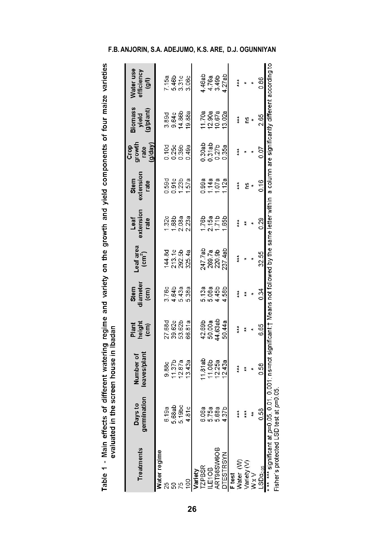Table 1 - Main effects of different watering regime and variety on the growth and yield components of four maize varieties<br>evaluated in the screen house in Ibadan

| <b>Treatments</b>          | nination<br>o) s/e<br>gern<br>≏ | eaves/plant<br>Number of                                                                                                     | Plant<br>height<br>(cm)     | Stem<br>diameter<br>$\binom{cm}{2}$  | Leaf area<br>$\text{cm}^2$ ) | extension<br>Leaf<br>rate     | extension<br>Stem<br>rate | Crop<br>growth<br>rate<br>(g/day) | <b>Biomass</b><br>yield<br>(g/plant) | Vater use<br>efficiency<br>$\widehat{e}$ |
|----------------------------|---------------------------------|------------------------------------------------------------------------------------------------------------------------------|-----------------------------|--------------------------------------|------------------------------|-------------------------------|---------------------------|-----------------------------------|--------------------------------------|------------------------------------------|
| Water regime               |                                 |                                                                                                                              |                             |                                      |                              |                               |                           |                                   |                                      |                                          |
| 25                         | 6.19a                           |                                                                                                                              |                             |                                      |                              |                               |                           |                                   |                                      |                                          |
| S                          | 68ab<br>5                       | 9.88c<br>11.37b<br>12.87a                                                                                                    | 27.68d<br>39.62b            | 3.76c<br>4.64b<br>5.43a              |                              | $1.32c$<br>$1.68a$<br>$2.08a$ |                           | 0.188<br>0.25<br>0.39             |                                      | 7.15a<br>5.46b<br>3.31c                  |
| 75                         | 19bc                            |                                                                                                                              |                             |                                      | 144.8d<br>213.5B<br>292.5B   |                               | 0.590<br>0.9123<br>1.238  |                                   | 3.89d<br>9.64C<br>14.86b             |                                          |
|                            | 81c                             | 1343a                                                                                                                        | 66.81a                      | 5.38a                                |                              | 223a                          | 1.57a                     | 0.49a                             | 19.88a                               | 3.06c                                    |
| Variety                    |                                 |                                                                                                                              |                             |                                      |                              |                               |                           |                                   |                                      |                                          |
| <b>TZPBSR</b>              |                                 |                                                                                                                              | 42.69b<br>50.00a<br>44.63ab |                                      | 247.7ab<br>269.7a<br>220.9b  |                               |                           |                                   |                                      |                                          |
| LE10B                      | 6.06a<br>5.75a                  | 11.81ab<br>11.06b<br>12.25a                                                                                                  |                             |                                      |                              |                               | 0.99a<br>1.14a<br>1.07a   |                                   |                                      |                                          |
| ART98SW6OB                 | 68a                             |                                                                                                                              |                             | 6<br>5<br>6<br>6<br>6<br>4<br>4<br>4 |                              | 1.76b<br>2.15a<br>1.71b       |                           | $0.30$ ab<br>$0.31$ ab<br>$0.27b$ | 11.70a<br>12.90a<br>10.67a           | 4.46ab<br>4.76a<br>3.49b                 |
| TESTRSYN                   | 37 <sub>b</sub>                 | 12.43a                                                                                                                       | 50.44a                      |                                      | 237.4ab                      | 1.65b                         | 1.12a                     | 0.35a                             | 13.02a                               | 4.27ab                                   |
| F test                     |                                 |                                                                                                                              |                             |                                      |                              |                               |                           |                                   |                                      |                                          |
| Water (W)                  | 大大大                             | i<br>K                                                                                                                       | 女女女                         | ţ                                    |                              | 美长                            | ***                       | ţ                                 | Ĕ                                    | 大大大                                      |
| Variety (V)                | xxx                             |                                                                                                                              | ţ                           | ŧ                                    |                              |                               | ပ္ပ                       |                                   | $\overline{0}$                       |                                          |
| $W \times V$               | ŧ                               |                                                                                                                              |                             |                                      |                              |                               |                           |                                   |                                      |                                          |
| LSDagos                    | 0.58                            | 0.58                                                                                                                         | 665                         | 0.34                                 | 32.55                        | 0.29                          | 0.16                      | $\frac{5}{2}$                     | 2.65                                 | 0.86                                     |
| *** *** significant at p=0 |                                 | 05, 0.01, 0.000 significant;† Means not followed by the same letter within a column are significantly different according to |                             |                                      |                              |                               |                           |                                   |                                      |                                          |
| Fisher's protected LSD te  | st at $p=0.05$                  |                                                                                                                              |                             |                                      |                              |                               |                           |                                   |                                      |                                          |

#### **F.B. ANJORIN, S.A. ADEJUMO, K.S. ARE, D.J. OGUNNIYAN**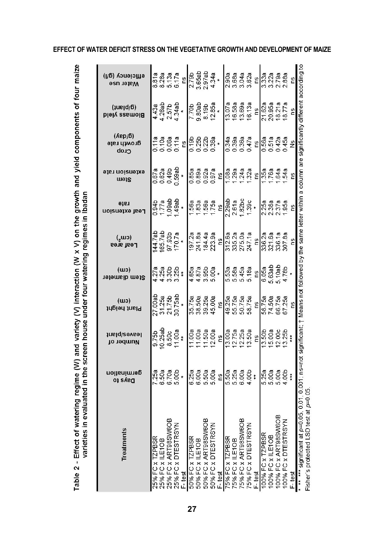| <b>Treatments</b>                                                    | germination<br><b>Days to</b>                  | lusiq\eevee<br>Number of                                                                                                               | (u)<br>Plant height         | (wu)<br>Stem diameter              | (UU-)<br><b>Leaf</b> area            | rate<br>Lest extension    | etension rate<br>Ctem       | (Лер/б)<br>дгоми гаtе<br>Crop                                                                                                                                                         | $(lue d/\delta)$<br>Biomass yield                   | etficiency (g/l)<br>Mater use    |
|----------------------------------------------------------------------|------------------------------------------------|----------------------------------------------------------------------------------------------------------------------------------------|-----------------------------|------------------------------------|--------------------------------------|---------------------------|-----------------------------|---------------------------------------------------------------------------------------------------------------------------------------------------------------------------------------|-----------------------------------------------------|----------------------------------|
|                                                                      | 7 25a                                          | 9.75b                                                                                                                                  | 27.00ab                     |                                    | 44.7at                               |                           | 0.67a                       | 0.11a                                                                                                                                                                                 |                                                     |                                  |
| 25% FC x TZPBSR<br>25% FC x ILE1OB                                   |                                                | 10.25ab                                                                                                                                |                             |                                    | 165.7ab                              | $0.946$<br>1.77a          | 0.62a                       | 0.10a                                                                                                                                                                                 |                                                     | 8.81a<br>8.28a                   |
| 25% FC x ART98SW6O                                                   | 6.50a<br>6.70a<br>5.00b                        | 8.50c                                                                                                                                  | 31.25a<br>21.75b<br>30.75ab |                                    | 97.93b                               | 09a                       | 0.49b                       | 0.06a<br>0.11a                                                                                                                                                                        | $4.43a$<br>$2.57b$<br>$2.57a$<br>$4.34a$<br>$4.34a$ | 5.13a<br>6.17a                   |
| 25% FC x DTESTRSYN                                                   |                                                | 11.00a                                                                                                                                 |                             |                                    | 170.7a                               | 49ab                      | 0.59ab                      |                                                                                                                                                                                       |                                                     |                                  |
| F-test                                                               |                                                |                                                                                                                                        |                             | $\ddot{x}$                         |                                      |                           |                             | 2u                                                                                                                                                                                    |                                                     | 2U                               |
| 50% FC x TZPBSR                                                      | 8<br>6<br>6<br>6<br>6<br>6<br>6<br>6<br>6<br>6 | 1.00a                                                                                                                                  | 35.75a                      |                                    | 197.2a                               |                           |                             | $\frac{6}{5}$ $\frac{6}{5}$ $\frac{6}{5}$ $\frac{6}{5}$ $\frac{6}{5}$ $\frac{6}{5}$ $\frac{6}{5}$ $\frac{6}{5}$ $\frac{6}{5}$ $\frac{6}{5}$ $\frac{6}{5}$ $\frac{6}{5}$ $\frac{6}{5}$ | 7.70b                                               | $\frac{1}{2.7}$                  |
| 50% FC x ILE1OB<br>50% FC x ART98SW6OI                               |                                                |                                                                                                                                        |                             |                                    |                                      |                           |                             |                                                                                                                                                                                       |                                                     |                                  |
|                                                                      |                                                | 11.00a<br>11.50a<br>12.00a                                                                                                             | 38.50a<br>39.25a            |                                    |                                      |                           |                             |                                                                                                                                                                                       | 9.80ab<br>8.19b                                     |                                  |
| 50% FC x DTESTRSYN                                                   |                                                |                                                                                                                                        | 45.00a                      | $4.878$<br>$4.878$<br>$5.008$      | 241.8a<br>184.4a<br>223.9a           | 1.56a<br>1.836<br>1.75a   | 0.85a<br>0.892a<br>0.00.97a |                                                                                                                                                                                       | 12.85a                                              | $3.65ab$<br>$2.97ab$<br>$4.34a$  |
| F-test                                                               | Ωù                                             | ns                                                                                                                                     | <u>c</u>                    |                                    | $\frac{6}{1}$                        | eq                        |                             |                                                                                                                                                                                       |                                                     |                                  |
| 75% FC x TZPBSR                                                      | 558<br>558<br>559<br>559                       |                                                                                                                                        |                             |                                    |                                      | 2.29ab<br>2.61a<br>1.82bc |                             |                                                                                                                                                                                       | 13.07a                                              |                                  |
| 75% FC x ILE1OB                                                      |                                                |                                                                                                                                        |                             |                                    |                                      |                           |                             |                                                                                                                                                                                       |                                                     |                                  |
| 75% FC x ART98SW6O<br>75% FC x DTESTRSYN                             |                                                | 13.00a<br>12.75a<br>12.25a                                                                                                             | 49.25a<br>55.75a<br>50.75a  |                                    |                                      |                           |                             |                                                                                                                                                                                       | 16.58a<br>13.69a                                    |                                  |
|                                                                      |                                                | 13.50a                                                                                                                                 | 58.75a                      | 5.53a<br>5.58a<br>5.45a<br>5.18a   | 312.6a<br>335.2a<br>275.0a<br>247.1a | 1.39c                     | 88888888                    | 34888<br>33888<br>0000<br>0000                                                                                                                                                        | 16.13a                                              | 0088<br>0.6888<br>0.678<br>0.678 |
| = test                                                               |                                                | ΓŚ                                                                                                                                     | 2                           | $\frac{6}{2}$                      |                                      |                           |                             |                                                                                                                                                                                       | ns                                                  |                                  |
| 100% FC x TZPBSR                                                     |                                                | 13.50b<br>15.00a                                                                                                                       |                             |                                    | 336.2a                               | 2.25a                     | .35a<br> 76a                | 0.56a<br>0.51a                                                                                                                                                                        |                                                     |                                  |
| 100% FC x ILE1OB                                                     |                                                |                                                                                                                                        |                             |                                    | 321.6a                               |                           |                             |                                                                                                                                                                                       |                                                     |                                  |
| ≃<br>100% FC x ART98SW60                                             |                                                | 12.00c<br>13.25b                                                                                                                       | 58.758<br>74.5758<br>57.28  |                                    | 336.1a<br>307.8a                     | 2.38a<br>2.37a<br>1.95a   | 64a<br>54a                  |                                                                                                                                                                                       | 21.62a<br>20.95a<br>18.21a<br>18.77a                | ធិធី<br>ប្លែក<br>មួយ             |
| 100% FC x DTESTRSYI                                                  |                                                |                                                                                                                                        |                             | 6.05a<br>5.63ab<br>5.10ab<br>4.78b |                                      |                           |                             | $0.42a$<br>0.45a<br>Ns                                                                                                                                                                |                                                     |                                  |
| F test                                                               |                                                | $\frac{1}{2}$                                                                                                                          | Su                          |                                    | $\frac{0}{1}$                        | ns                        | ΓS,                         |                                                                                                                                                                                       | ns                                                  | ns                               |
| $\vec{a}$<br>** *** significant at p=0.<br>Fisher's protected LSD te |                                                | 05, 0.011, 0.0011 ns=not significant; † Means not followed by the same letter within a column are significantly different according to |                             |                                    |                                      |                           |                             |                                                                                                                                                                                       |                                                     |                                  |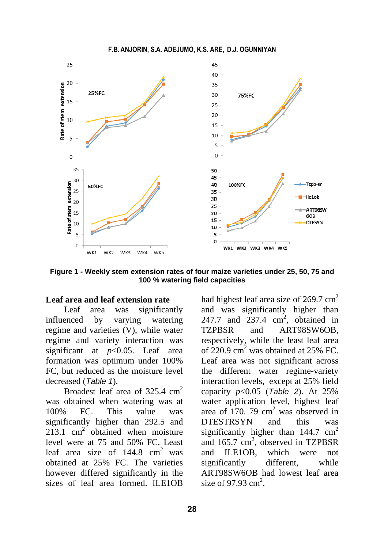**F.B. ANJORIN, S.A. ADEJUMO, K.S. ARE, D.J. OGUNNIYAN** 



**Figure 1 - Weekly stem extension rates of four maize varieties under 25, 50, 75 and 100 % watering field capacities**

#### **Leaf area and leaf extension rate**

Leaf area was significantly influenced by varying watering regime and varieties (V), while water regime and variety interaction was significant at *p*<0.05. Leaf area formation was optimum under 100% FC, but reduced as the moisture level decreased (*Table 1*).

Broadest leaf area of 325.4 cm<sup>2</sup> was obtained when watering was at 100% FC. This value was significantly higher than 292.5 and  $213.1 \text{ cm}^2$  obtained when moisture level were at 75 and 50% FC. Least leaf area size of  $144.8 \text{ cm}^2$  was obtained at 25% FC. The varieties however differed significantly in the sizes of leaf area formed. ILE1OB

had highest leaf area size of  $269.7 \text{ cm}^2$ and was significantly higher than 247.7 and  $237.4 \text{ cm}^2$ , obtained in TZPBSR and ART98SW6OB, respectively, while the least leaf area of  $220.9 \text{ cm}^2$  was obtained at 25% FC. Leaf area was not significant across the different water regime-variety interaction levels, except at 25% field capacity *p*<0.05 (*Table 2*). At 25% water application level, highest leaf area of  $170.79 \text{ cm}^2$  was observed in DTESTRSYN and this was significantly higher than  $144.7 \text{ cm}^2$ and  $165.7 \text{ cm}^2$ , observed in TZPBSR and ILE1OB, which were not significantly different, while ART98SW6OB had lowest leaf area size of 97.93  $\text{cm}^2$ .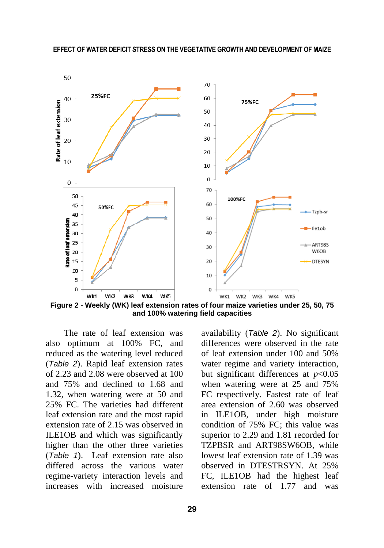

**Figure 2 - Weekly (WK) leaf extension rates of four maize varieties under 25, 50, 75 and 100% watering field capacities**

The rate of leaf extension was also optimum at 100% FC, and reduced as the watering level reduced (*Table 2*). Rapid leaf extension rates of 2.23 and 2.08 were observed at 100 and 75% and declined to 1.68 and 1.32, when watering were at 50 and 25% FC. The varieties had different leaf extension rate and the most rapid extension rate of 2.15 was observed in ILE1OB and which was significantly higher than the other three varieties (*Table 1*). Leaf extension rate also differed across the various water regime-variety interaction levels and increases with increased moisture availability (*Table 2*). No significant differences were observed in the rate of leaf extension under 100 and 50% water regime and variety interaction, but significant differences at  $p<0.05$ when watering were at 25 and 75% FC respectively. Fastest rate of leaf area extension of 2.60 was observed in ILE1OB, under high moisture condition of 75% FC; this value was superior to 2.29 and 1.81 recorded for TZPBSR and ART98SW6OB, while lowest leaf extension rate of 1.39 was observed in DTESTRSYN. At 25% FC, ILE1OB had the highest leaf extension rate of 1.77 and was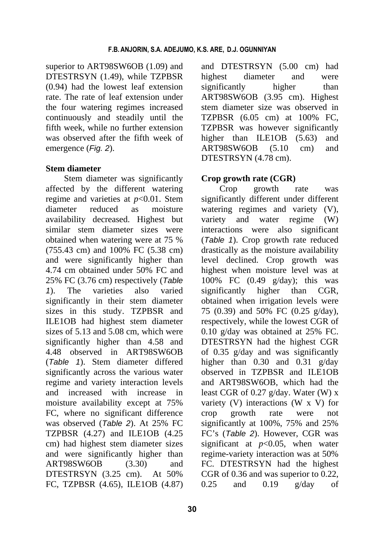superior to ART98SW6OB (1.09) and DTESTRSYN (1.49), while TZPBSR (0.94) had the lowest leaf extension rate. The rate of leaf extension under the four watering regimes increased continuously and steadily until the fifth week, while no further extension was observed after the fifth week of emergence (*Fig. 2*).

#### **Stem diameter**

Stem diameter was significantly affected by the different watering regime and varieties at *p*<0.01. Stem diameter reduced as moisture availability decreased. Highest but similar stem diameter sizes were obtained when watering were at 75 % (755.43 cm) and 100% FC (5.38 cm) and were significantly higher than 4.74 cm obtained under 50% FC and 25% FC (3.76 cm) respectively (*Table 1*). The varieties also varied significantly in their stem diameter sizes in this study. TZPBSR and ILE1OB had highest stem diameter sizes of 5.13 and 5.08 cm, which were significantly higher than 4.58 and 4.48 observed in ART98SW6OB (*Table 1*). Stem diameter differed significantly across the various water regime and variety interaction levels and increased with increase in moisture availability except at 75% FC, where no significant difference was observed (*Table 2*). At 25% FC TZPBSR (4.27) and ILE1OB (4.25 cm) had highest stem diameter sizes and were significantly higher than ART98SW6OB (3.30) and DTESTRSYN (3.25 cm). At 50% FC, TZPBSR (4.65), ILE1OB (4.87)

and DTESTRSYN (5.00 cm) had highest diameter and were significantly higher than ART98SW6OB (3.95 cm). Highest stem diameter size was observed in TZPBSR (6.05 cm) at 100% FC, TZPBSR was however significantly higher than ILE1OB (5.63) and ART98SW6OB (5.10 cm) and DTESTRSYN (4.78 cm).

# **Crop growth rate (CGR)**

Crop growth rate was significantly different under different watering regimes and variety (V), variety and water regime (W) interactions were also significant (*Table 1*). Crop growth rate reduced drastically as the moisture availability level declined. Crop growth was highest when moisture level was at 100% FC (0.49 g/day); this was significantly higher than CGR, obtained when irrigation levels were 75 (0.39) and 50% FC (0.25 g/day), respectively, while the lowest CGR of 0.10 g/day was obtained at 25% FC. DTESTRSYN had the highest CGR of 0.35 g/day and was significantly higher than 0.30 and 0.31 g/day observed in TZPBSR and ILE1OB and ART98SW6OB, which had the least CGR of 0.27 g/day. Water (W) x variety (V) interactions (W x V) for crop growth rate were not significantly at 100%, 75% and 25% FC's (*Table 2*). However, CGR was significant at  $p<0.05$ , when water regime-variety interaction was at 50% FC. DTESTRSYN had the highest CGR of 0.36 and was superior to 0.22,  $0.25$  and  $0.19$  g/day of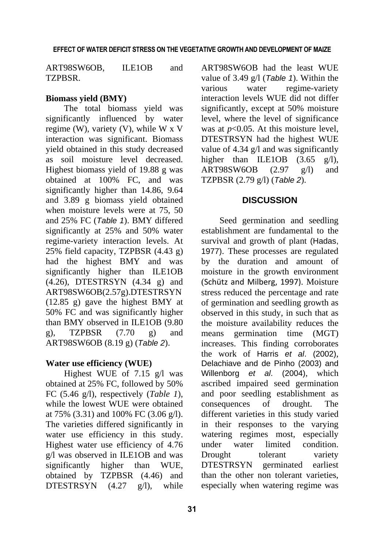ART98SW6OB, ILE1OB and TZPBSR.

## **Biomass yield (BMY)**

The total biomass yield was significantly influenced by water regime (W), variety (V), while W x V interaction was significant. Biomass yield obtained in this study decreased as soil moisture level decreased. Highest biomass yield of 19.88 g was obtained at 100% FC, and was significantly higher than 14.86, 9.64 and 3.89 g biomass yield obtained when moisture levels were at 75, 50 and 25% FC (*Table 1*). BMY differed significantly at 25% and 50% water regime-variety interaction levels. At 25% field capacity, TZPBSR (4.43 g) had the highest BMY and was significantly higher than ILE1OB (4.26), DTESTRSYN (4.34 g) and ART98SW6OB(2.57g).DTESTRSYN (12.85 g) gave the highest BMY at 50% FC and was significantly higher than BMY observed in ILE1OB (9.80 g), TZPBSR (7.70 g) and ART98SW6OB (8.19 g) (*Table 2*).

#### **Water use efficiency (WUE)**

Highest WUE of 7.15 g/l was obtained at 25% FC, followed by 50% FC (5.46 g/l), respectively (*Table 1*), while the lowest WUE were obtained at 75% (3.31) and 100% FC (3.06 g/l). The varieties differed significantly in water use efficiency in this study. Highest water use efficiency of 4.76 g/l was observed in ILE1OB and was significantly higher than WUE, obtained by TZPBSR (4.46) and DTESTRSYN  $(4.27 \text{ g/l})$ , while

ART98SW6OB had the least WUE value of 3.49 g/l (*Table 1*). Within the various water regime-variety interaction levels WUE did not differ significantly, except at 50% moisture level, where the level of significance was at *p*<0.05. At this moisture level, DTESTRSYN had the highest WUE value of 4.34 g/l and was significantly higher than ILE1OB (3.65 g/l), ART98SW6OB (2.97 g/l) and TZPBSR (2.79 g/l) (*Table 2*).

#### **DISCUSSION**

Seed germination and seedling establishment are fundamental to the survival and growth of plant (Hadas, 1977). These processes are regulated by the duration and amount of moisture in the growth environment (Schütz and Milberg, 1997). Moisture stress reduced the percentage and rate of germination and seedling growth as observed in this study, in such that as the moisture availability reduces the means germination time (MGT) increases. This finding corroborates the work of Harris *et al*. (2002), Delachiave and de Pinho (2003) and Willenborg *et al*. (2004), which ascribed impaired seed germination and poor seedling establishment as consequences of drought. The different varieties in this study varied in their responses to the varying watering regimes most, especially under water limited condition. Drought tolerant variety DTESTRSYN germinated earliest than the other non tolerant varieties, especially when watering regime was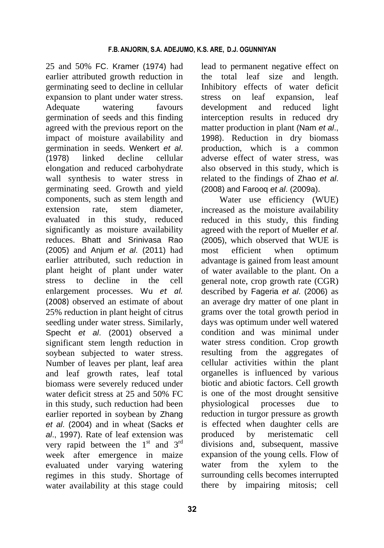25 and 50% FC. Kramer (1974) had earlier attributed growth reduction in germinating seed to decline in cellular expansion to plant under water stress. Adequate watering favours germination of seeds and this finding agreed with the previous report on the impact of moisture availability and germination in seeds. Wenkert *et al*. (1978) linked decline cellular elongation and reduced carbohydrate wall synthesis to water stress in germinating seed. Growth and yield components, such as stem length and extension rate, stem diameter, evaluated in this study, reduced significantly as moisture availability reduces. Bhatt and Srinivasa Rao (2005) and Anjum *et al*. (2011) had earlier attributed, such reduction in plant height of plant under water stress to decline in the cell enlargement processes. Wu *et al.* (2008) observed an estimate of about 25% reduction in plant height of citrus seedling under water stress. Similarly, Specht *et al*. (2001) observed a significant stem length reduction in soybean subjected to water stress. Number of leaves per plant, leaf area and leaf growth rates, leaf total biomass were severely reduced under water deficit stress at 25 and 50% FC in this study, such reduction had been earlier reported in soybean by Zhang *et al*. (2004) and in wheat (Sacks *et al*., 1997). Rate of leaf extension was very rapid between the  $1<sup>st</sup>$  and  $3<sup>rd</sup>$ week after emergence in maize evaluated under varying watering regimes in this study. Shortage of water availability at this stage could

lead to permanent negative effect on the total leaf size and length. Inhibitory effects of water deficit stress on leaf expansion, leaf development and reduced light interception results in reduced dry matter production in plant (Nam *et al*., 1998). Reduction in dry biomass production, which is a common adverse effect of water stress, was also observed in this study, which is related to the findings of Zhao *et al*. (2008) and Farooq *et al*. (2009a).

Water use efficiency (WUE) increased as the moisture availability reduced in this study, this finding agreed with the report of Mueller *et al*. (2005), which observed that WUE is most efficient when optimum advantage is gained from least amount of water available to the plant. On a general note, crop growth rate (CGR) described by Fageria *et al*. (2006) as an average dry matter of one plant in grams over the total growth period in days was optimum under well watered condition and was minimal under water stress condition. Crop growth resulting from the aggregates of cellular activities within the plant organelles is influenced by various biotic and abiotic factors. Cell growth is one of the most drought sensitive physiological processes due to reduction in turgor pressure as growth is effected when daughter cells are produced by meristematic cell divisions and, subsequent, massive expansion of the young cells. Flow of water from the xylem to the surrounding cells becomes interrupted there by impairing mitosis; cell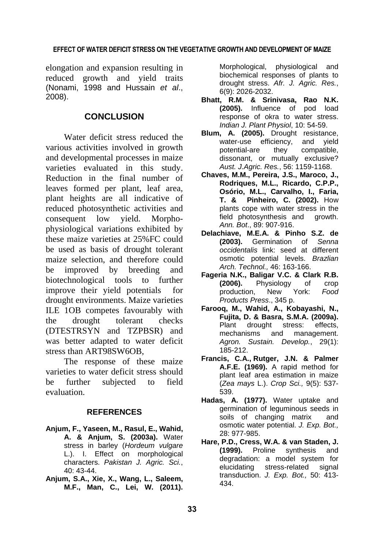elongation and expansion resulting in reduced growth and yield traits (Nonami, 1998 and Hussain *et al*., 2008).

#### **CONCLUSION**

Water deficit stress reduced the various activities involved in growth and developmental processes in maize varieties evaluated in this study. Reduction in the final number of leaves formed per plant, leaf area, plant heights are all indicative of reduced photosynthetic activities and consequent low yield. Morphophysiological variations exhibited by these maize varieties at 25%FC could be used as basis of drought tolerant maize selection, and therefore could be improved by breeding and biotechnological tools to further improve their yield potentials for drought environments. Maize varieties ILE 1OB competes favourably with the drought tolerant checks (DTESTRSYN and TZPBSR) and was better adapted to water deficit stress than ART98SW6OB,

The response of these maize varieties to water deficit stress should be further subjected to field evaluation.

#### **REFERENCES**

- **Anjum, F., Yaseen, M., Rasul, E., Wahid, A. & Anjum, S. (2003a).** Water stress in barley (*Hordeum vulgare*  L.). I. Effect on morphological characters. *Pakistan J. Agric. Sci.*, 40: 43-44.
- **Anjum, S.A., Xie, X., Wang, L., Saleem, M.F., Man, C., Lei, W. (2011).**

Morphological, physiological and biochemical responses of plants to drought stress. *Afr. J. Agric. Res.*, 6(9): 2026-2032.

- **Bhatt, R.M. & Srinivasa, Rao N.K. (2005).** Influence of pod load response of okra to water stress. *Indian J. Plant Physiol*, 10: 54-59.
- **Blum, A. (2005).** Drought resistance, water-use efficiency, and yield potential-are they compatible, dissonant, or mutually exclusive? *Aust. J.Agric. Res.*, 56: 1159-1168.
- **Chaves, M.M., Pereira, J.S., Maroco, J., Rodriques, M.L., Ricardo, C.P.P., Osório, M.L., Carvalho, I., Faria, T. & Pinheiro, C. (2002).** How plants cope with water stress in the field photosynthesis and growth. *Ann. Bot*., 89: 907-916.
- **Delachiave, M.E.A. & Pinho S.Z. de (2003).** Germination of *Senna occidentalis* link: seed at different osmotic potential levels. *Brazlian Arch. Technol.,* 46: 163-166.
- **Fageria N.K., Baligar V.C. & Clark R.B. (2006).** Physiology of crop<br>production. New York: Food production, New York: *Food Products Press*., 345 p.
- **Farooq, M., Wahid, A., Kobayashi, N., Fujita, D. & Basra, S.M.A. (2009a).**  Plant drought stress: effects, mechanisms and management. *Agron. Sustain. Develop.*, 29(1): 185-212.
- **Francis, C.A., Rutger, J.N. & Palmer A.F.E. (1969).** A rapid method for plant leaf area estimation in maize (*Zea mays* L.). *Crop Sci.,* 9(5): 537- 539.
- **Hadas, A. (1977).** Water uptake and germination of leguminous seeds in soils of changing matrix and osmotic water potential. *J. Exp. Bot.,* 28: 977-985.
- **Hare, P.D., Cress, W.A. & van Staden, J. (1999).** Proline synthesis and degradation: a model system for elucidating stress-related signal transduction. *J. Exp. Bot.,* 50: 413- 434.